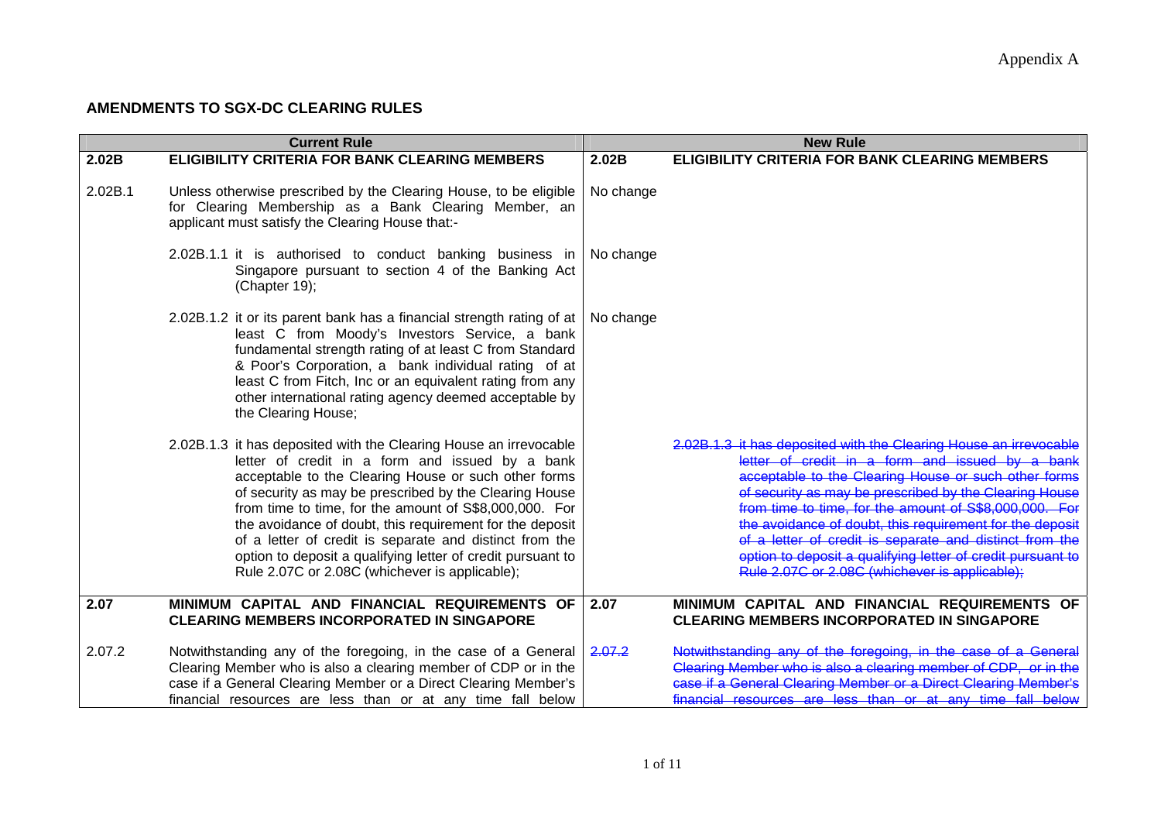## **AMENDMENTS TO SGX-DC CLEARING RULES**

|         | <b>Current Rule</b>                                                                                                                                                                                                                                                                                                                                                                                                                                                                                                                      |           | <b>New Rule</b>                                                                                                                                                                                                                                                                                                                                                                                                                                                                                                                          |
|---------|------------------------------------------------------------------------------------------------------------------------------------------------------------------------------------------------------------------------------------------------------------------------------------------------------------------------------------------------------------------------------------------------------------------------------------------------------------------------------------------------------------------------------------------|-----------|------------------------------------------------------------------------------------------------------------------------------------------------------------------------------------------------------------------------------------------------------------------------------------------------------------------------------------------------------------------------------------------------------------------------------------------------------------------------------------------------------------------------------------------|
| 2.02B   | <b>ELIGIBILITY CRITERIA FOR BANK CLEARING MEMBERS</b>                                                                                                                                                                                                                                                                                                                                                                                                                                                                                    | 2.02B     | <b>ELIGIBILITY CRITERIA FOR BANK CLEARING MEMBERS</b>                                                                                                                                                                                                                                                                                                                                                                                                                                                                                    |
| 2.02B.1 | Unless otherwise prescribed by the Clearing House, to be eligible<br>for Clearing Membership as a Bank Clearing Member, an<br>applicant must satisfy the Clearing House that:-                                                                                                                                                                                                                                                                                                                                                           | No change |                                                                                                                                                                                                                                                                                                                                                                                                                                                                                                                                          |
|         | 2.02B.1.1 it is authorised to conduct banking business in<br>Singapore pursuant to section 4 of the Banking Act<br>(Chapter 19);                                                                                                                                                                                                                                                                                                                                                                                                         | No change |                                                                                                                                                                                                                                                                                                                                                                                                                                                                                                                                          |
|         | 2.02B.1.2 it or its parent bank has a financial strength rating of at<br>least C from Moody's Investors Service, a bank<br>fundamental strength rating of at least C from Standard<br>& Poor's Corporation, a bank individual rating of at<br>least C from Fitch, Inc or an equivalent rating from any<br>other international rating agency deemed acceptable by<br>the Clearing House;                                                                                                                                                  | No change |                                                                                                                                                                                                                                                                                                                                                                                                                                                                                                                                          |
|         | 2.02B.1.3 it has deposited with the Clearing House an irrevocable<br>letter of credit in a form and issued by a bank<br>acceptable to the Clearing House or such other forms<br>of security as may be prescribed by the Clearing House<br>from time to time, for the amount of S\$8,000,000. For<br>the avoidance of doubt, this requirement for the deposit<br>of a letter of credit is separate and distinct from the<br>option to deposit a qualifying letter of credit pursuant to<br>Rule 2.07C or 2.08C (whichever is applicable); |           | 2.02B.1.3 it has deposited with the Clearing House an irrevocable<br>letter of credit in a form and issued by a bank<br>acceptable to the Clearing House or such other forms<br>of security as may be prescribed by the Clearing House<br>from time to time, for the amount of S\$8,000,000. For<br>the avoidance of doubt, this requirement for the deposit<br>of a letter of credit is separate and distinct from the<br>option to deposit a qualifying letter of credit pursuant to<br>Rule 2.07C or 2.08C (whichever is applicable); |
| 2.07    | MINIMUM CAPITAL AND FINANCIAL REQUIREMENTS OF<br><b>CLEARING MEMBERS INCORPORATED IN SINGAPORE</b>                                                                                                                                                                                                                                                                                                                                                                                                                                       | 2.07      | MINIMUM CAPITAL AND FINANCIAL REQUIREMENTS OF<br><b>CLEARING MEMBERS INCORPORATED IN SINGAPORE</b>                                                                                                                                                                                                                                                                                                                                                                                                                                       |
| 2.07.2  | Notwithstanding any of the foregoing, in the case of a General<br>Clearing Member who is also a clearing member of CDP or in the<br>case if a General Clearing Member or a Direct Clearing Member's<br>financial resources are less than or at any time fall below                                                                                                                                                                                                                                                                       | 2.07.2    | Notwithstanding any of the foregoing, in the case<br>Clearing Member who is also a clearing member of CDP, or in the<br>case if a General Clearing Member or a Direct Clearing Member's<br>financial resources are less than or at any time fall below                                                                                                                                                                                                                                                                                   |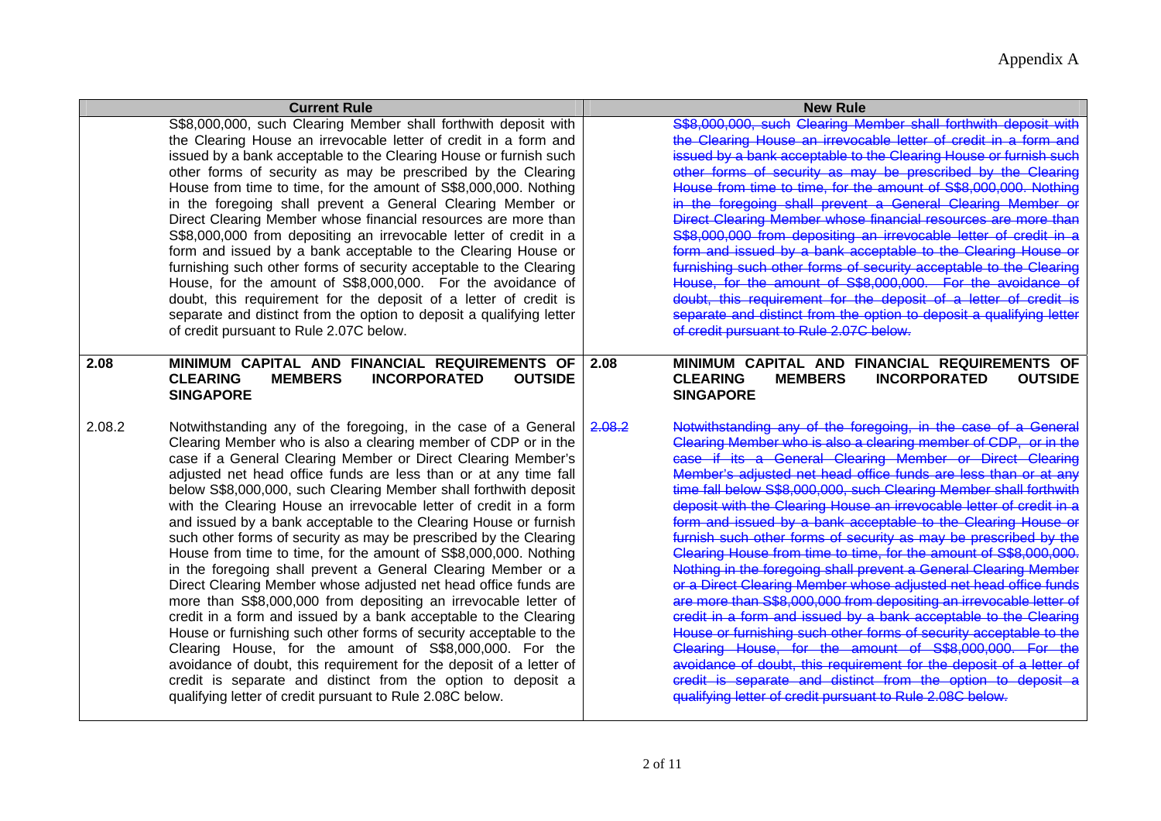|        | <b>Current Rule</b>                                                                                                                                                                                                                                                                                                                                                                                                                                                                                                                                                                                                                                                                                                                                                                                                                                                                                                                                                                                                                                                                                                                                                                                                                         |        | <b>New Rule</b>                                                                                                                                                                                                                                                                                                                                                                                                                                                                                                                                                                                                                                                                                                                                                                                                                                                                                                                                                                                                                                                                                                                                                                                                                                  |
|--------|---------------------------------------------------------------------------------------------------------------------------------------------------------------------------------------------------------------------------------------------------------------------------------------------------------------------------------------------------------------------------------------------------------------------------------------------------------------------------------------------------------------------------------------------------------------------------------------------------------------------------------------------------------------------------------------------------------------------------------------------------------------------------------------------------------------------------------------------------------------------------------------------------------------------------------------------------------------------------------------------------------------------------------------------------------------------------------------------------------------------------------------------------------------------------------------------------------------------------------------------|--------|--------------------------------------------------------------------------------------------------------------------------------------------------------------------------------------------------------------------------------------------------------------------------------------------------------------------------------------------------------------------------------------------------------------------------------------------------------------------------------------------------------------------------------------------------------------------------------------------------------------------------------------------------------------------------------------------------------------------------------------------------------------------------------------------------------------------------------------------------------------------------------------------------------------------------------------------------------------------------------------------------------------------------------------------------------------------------------------------------------------------------------------------------------------------------------------------------------------------------------------------------|
|        | S\$8,000,000, such Clearing Member shall forthwith deposit with<br>the Clearing House an irrevocable letter of credit in a form and<br>issued by a bank acceptable to the Clearing House or furnish such<br>other forms of security as may be prescribed by the Clearing<br>House from time to time, for the amount of S\$8,000,000. Nothing<br>in the foregoing shall prevent a General Clearing Member or<br>Direct Clearing Member whose financial resources are more than<br>S\$8,000,000 from depositing an irrevocable letter of credit in a<br>form and issued by a bank acceptable to the Clearing House or<br>furnishing such other forms of security acceptable to the Clearing<br>House, for the amount of S\$8,000,000. For the avoidance of<br>doubt, this requirement for the deposit of a letter of credit is<br>separate and distinct from the option to deposit a qualifying letter<br>of credit pursuant to Rule 2.07C below.                                                                                                                                                                                                                                                                                             |        | S\$8,000,000, such Clearing Member shall forthwith deposit with<br>the Clearing House an irrevocable letter of credit in a form<br>issued by a bank acceptable to the Clearing House or furnish such<br>other forms of security as may be prescribed by the Clearing<br>House from time to time, for the amount of S\$8,000,000. Nothine<br>in the foregoing shall prevent a General Clearing Member or<br>Direct Clearing Member whose financial resources are more than<br>S\$8,000,000 from depositing an irrevocable letter of credit in a<br>form and issued by a bank acceptable to the Clearing House or<br>furnishing such other forms of security acceptable to the Clearing<br>House, for the amount of S\$8,000,000. For the avoidance of<br>doubt, this requirement for the deposit of a letter of credit is<br>separate and distinct from the option to deposit a qualifying letter<br>of credit pursuant to Rule 2.07C below.                                                                                                                                                                                                                                                                                                      |
| 2.08   | MINIMUM CAPITAL AND FINANCIAL REQUIREMENTS OF<br><b>CLEARING</b><br><b>MEMBERS</b><br><b>INCORPORATED</b><br><b>OUTSIDE</b><br><b>SINGAPORE</b>                                                                                                                                                                                                                                                                                                                                                                                                                                                                                                                                                                                                                                                                                                                                                                                                                                                                                                                                                                                                                                                                                             | 2.08   | MINIMUM CAPITAL AND FINANCIAL REQUIREMENTS OF<br><b>CLEARING</b><br><b>MEMBERS</b><br><b>INCORPORATED</b><br><b>OUTSIDE</b><br><b>SINGAPORE</b>                                                                                                                                                                                                                                                                                                                                                                                                                                                                                                                                                                                                                                                                                                                                                                                                                                                                                                                                                                                                                                                                                                  |
| 2.08.2 | Notwithstanding any of the foregoing, in the case of a General<br>Clearing Member who is also a clearing member of CDP or in the<br>case if a General Clearing Member or Direct Clearing Member's<br>adjusted net head office funds are less than or at any time fall<br>below S\$8,000,000, such Clearing Member shall forthwith deposit<br>with the Clearing House an irrevocable letter of credit in a form<br>and issued by a bank acceptable to the Clearing House or furnish<br>such other forms of security as may be prescribed by the Clearing<br>House from time to time, for the amount of S\$8,000,000. Nothing<br>in the foregoing shall prevent a General Clearing Member or a<br>Direct Clearing Member whose adjusted net head office funds are<br>more than S\$8,000,000 from depositing an irrevocable letter of<br>credit in a form and issued by a bank acceptable to the Clearing<br>House or furnishing such other forms of security acceptable to the<br>Clearing House, for the amount of S\$8,000,000. For the<br>avoidance of doubt, this requirement for the deposit of a letter of<br>credit is separate and distinct from the option to deposit a<br>qualifying letter of credit pursuant to Rule 2.08C below. | 2.08.2 | Notwithstanding any of the foregoing, in the case of a General<br>Clearing Member who is also a clearing member of CDP, or in the<br>case if its a General Clearing Member or Direct Clearing<br>Member's adjusted net head office funds are less than or at any<br>time fall below S\$8,000,000, such Clearing Member shall forthwith<br>deposit with the Clearing House an irrevocable letter of credit in a<br>form and issued by a bank acceptable to the Clearing House or<br>furnish such other forms of security as may be prescribed by the<br>Clearing House from time to time, for the amount of S\$8,000,000.<br>Nothing in the foregoing shall prevent a General Clearing Member<br>or a Direct Clearing Member whose adjusted net head office funds<br>are more than S\$8,000,000 from depositing an irrevocable letter of<br>credit in a form and issued by a bank acceptable to the Clearing<br>House or furnishing such other forms of security acceptable to the<br>Clearing House, for the amount of S\$8,000,000. For the<br>avoidance of doubt, this requirement for the deposit of a letter of<br>credit is separate and distinct from the option to deposit a<br>qualifying letter of credit pursuant to Rule 2.08C below. |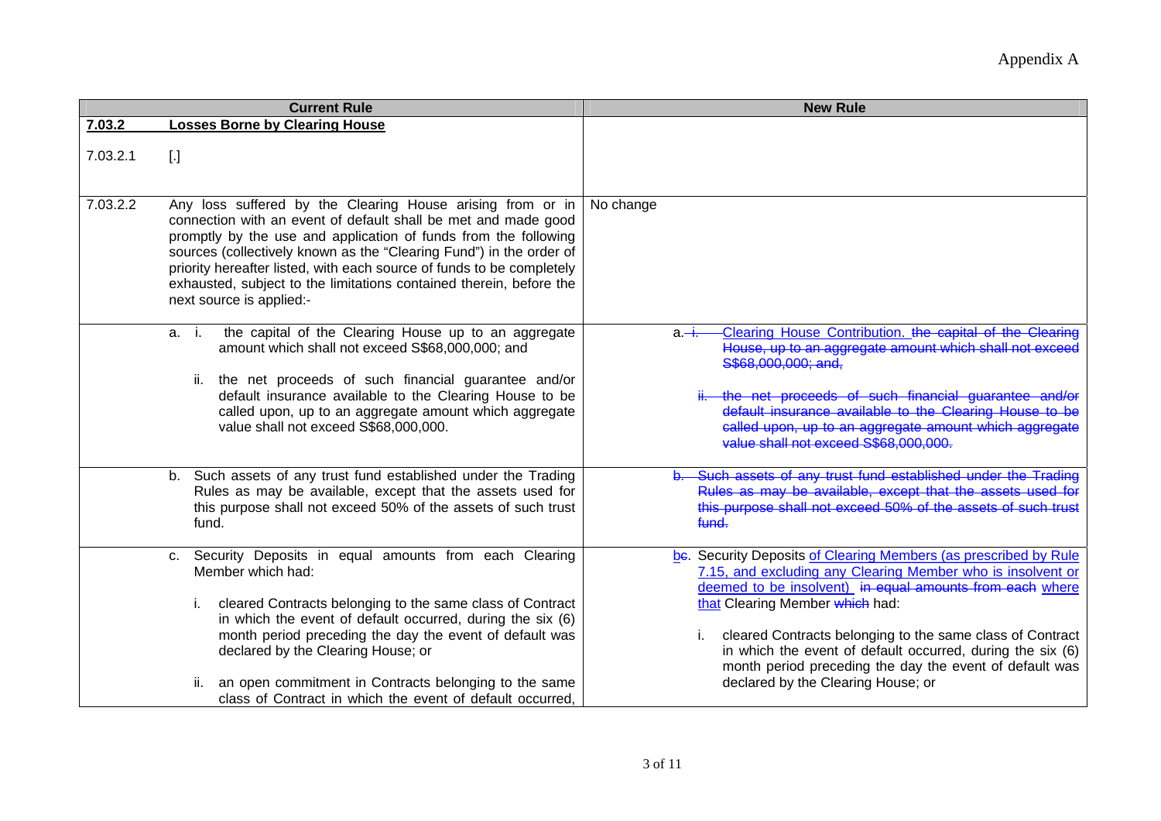|          | <b>Current Rule</b>                                                                                                                                                                                                                                                                                                                                                                                                                                | <b>New Rule</b>                                                                                                                                                                                                                                                                                                                                                                                                                                                  |
|----------|----------------------------------------------------------------------------------------------------------------------------------------------------------------------------------------------------------------------------------------------------------------------------------------------------------------------------------------------------------------------------------------------------------------------------------------------------|------------------------------------------------------------------------------------------------------------------------------------------------------------------------------------------------------------------------------------------------------------------------------------------------------------------------------------------------------------------------------------------------------------------------------------------------------------------|
| 7.03.2   | <b>Losses Borne by Clearing House</b>                                                                                                                                                                                                                                                                                                                                                                                                              |                                                                                                                                                                                                                                                                                                                                                                                                                                                                  |
| 7.03.2.1 | $[.]$                                                                                                                                                                                                                                                                                                                                                                                                                                              |                                                                                                                                                                                                                                                                                                                                                                                                                                                                  |
| 7.03.2.2 | Any loss suffered by the Clearing House arising from or in<br>connection with an event of default shall be met and made good<br>promptly by the use and application of funds from the following<br>sources (collectively known as the "Clearing Fund") in the order of<br>priority hereafter listed, with each source of funds to be completely<br>exhausted, subject to the limitations contained therein, before the<br>next source is applied:- | No change                                                                                                                                                                                                                                                                                                                                                                                                                                                        |
|          | the capital of the Clearing House up to an aggregate<br>a. i.<br>amount which shall not exceed S\$68,000,000; and<br>ii. the net proceeds of such financial guarantee and/or<br>default insurance available to the Clearing House to be<br>called upon, up to an aggregate amount which aggregate<br>value shall not exceed S\$68,000,000.                                                                                                         | Clearing House Contribution. the capital of the Clearing<br>а. <del>-і.</del><br>House, up to an aggregate amount which shall not exc<br>S\$68,000,000; and,<br>the net proceeds of such financial quarantee and/or<br>default insurance available to the Clearing House<br>called upon, up to an aggregate amount which aggregate<br>value shall not exceed S\$68,000,000.                                                                                      |
|          | b. Such assets of any trust fund established under the Trading<br>Rules as may be available, except that the assets used for<br>this purpose shall not exceed 50% of the assets of such trust<br>fund.                                                                                                                                                                                                                                             | Such assets of any trust fund established under the Trading<br>Rules as may be available, except that the assets used for<br>this purpose shall not exceed 50% of the assets of such trust<br>fund.                                                                                                                                                                                                                                                              |
|          | c. Security Deposits in equal amounts from each Clearing<br>Member which had:<br>cleared Contracts belonging to the same class of Contract<br>i.<br>in which the event of default occurred, during the six (6)<br>month period preceding the day the event of default was<br>declared by the Clearing House; or<br>an open commitment in Contracts belonging to the same<br>ii.<br>class of Contract in which the event of default occurred,       | be. Security Deposits of Clearing Members (as prescribed by Rule<br>7.15, and excluding any Clearing Member who is insolvent or<br>deemed to be insolvent) in equal amounts from each where<br>that Clearing Member which had:<br>cleared Contracts belonging to the same class of Contract<br>i.<br>in which the event of default occurred, during the six (6)<br>month period preceding the day the event of default was<br>declared by the Clearing House; or |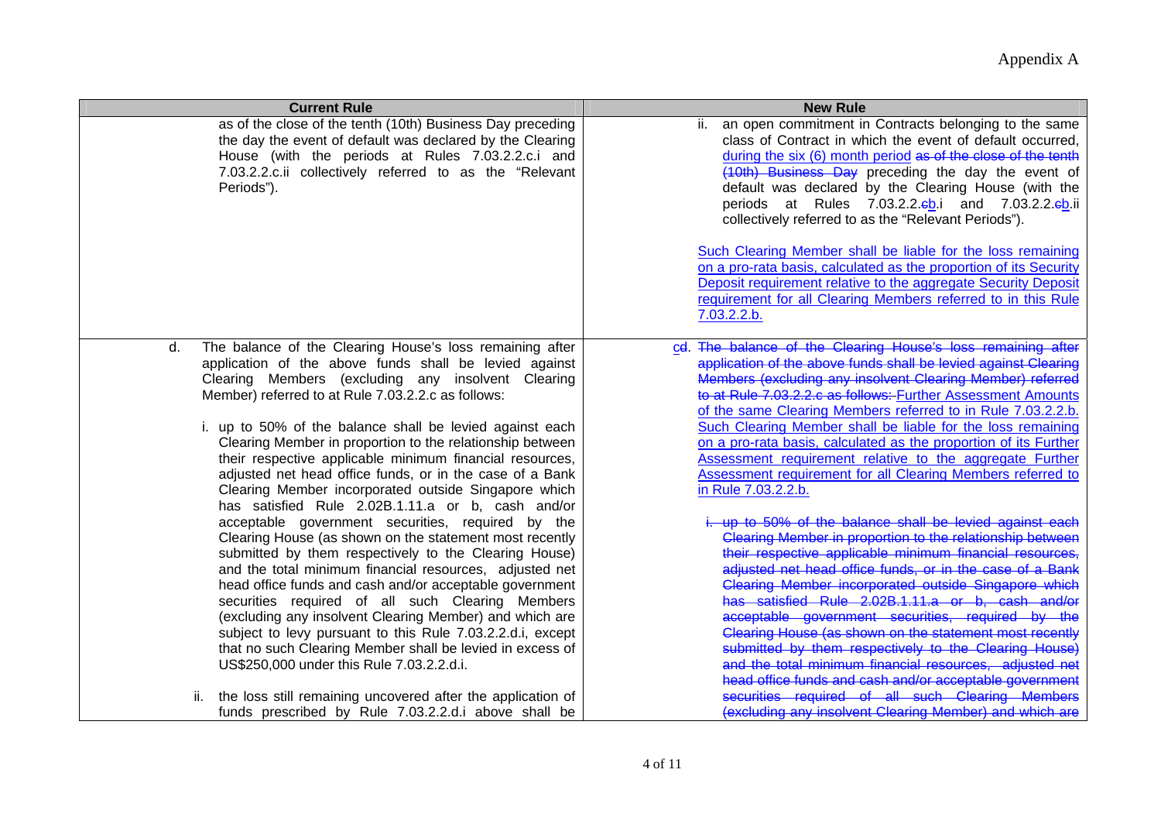| <b>Current Rule</b>                                                                                                                                                                                                                                   | <b>New Rule</b>                                                                                                                                                                                                                                                                                                                                                                                                                |
|-------------------------------------------------------------------------------------------------------------------------------------------------------------------------------------------------------------------------------------------------------|--------------------------------------------------------------------------------------------------------------------------------------------------------------------------------------------------------------------------------------------------------------------------------------------------------------------------------------------------------------------------------------------------------------------------------|
| as of the close of the tenth (10th) Business Day preceding<br>the day the event of default was declared by the Clearing<br>House (with the periods at Rules 7.03.2.2.c.i and<br>7.03.2.2.c.ii collectively referred to as the "Relevant<br>Periods"). | ii. an open commitment in Contracts belonging to the same<br>class of Contract in which the event of default occurred,<br>during the six (6) month period as of the close of the tenth<br>(10th) Business Day preceding the day the event of<br>default was declared by the Clearing House (with the<br>periods at Rules 7.03.2.2. <sup>eb.</sup> i and 7.03.2.2.eb.ii<br>collectively referred to as the "Relevant Periods"). |
|                                                                                                                                                                                                                                                       | Such Clearing Member shall be liable for the loss remaining<br>on a pro-rata basis, calculated as the proportion of its Security<br>Deposit requirement relative to the aggregate Security Deposit<br>requirement for all Clearing Members referred to in this Rule<br>7.03.2.2.b.                                                                                                                                             |
| The balance of the Clearing House's loss remaining after<br>d.<br>application of the above funds shall be levied against<br>Clearing Members (excluding any insolvent Clearing                                                                        | cd. The balance of the Clearing House's loss remaining after<br>application of the above funds shall be levied against Clearing                                                                                                                                                                                                                                                                                                |
| Member) referred to at Rule 7.03.2.2.c as follows:                                                                                                                                                                                                    | Members (excluding any insolvent Clearing Member) referred<br>to at Rule 7.03.2.2.c as follows: Further Assessment Amounts<br>of the same Clearing Members referred to in Rule 7.03.2.2.b.                                                                                                                                                                                                                                     |
| i. up to 50% of the balance shall be levied against each                                                                                                                                                                                              | Such Clearing Member shall be liable for the loss remaining                                                                                                                                                                                                                                                                                                                                                                    |
| Clearing Member in proportion to the relationship between<br>their respective applicable minimum financial resources,                                                                                                                                 | on a pro-rata basis, calculated as the proportion of its Further<br>Assessment requirement relative to the aggregate Further                                                                                                                                                                                                                                                                                                   |
| adjusted net head office funds, or in the case of a Bank                                                                                                                                                                                              | Assessment requirement for all Clearing Members referred to                                                                                                                                                                                                                                                                                                                                                                    |
| Clearing Member incorporated outside Singapore which<br>has satisfied Rule 2.02B.1.11.a or b, cash and/or                                                                                                                                             | in Rule 7.03.2.2.b.                                                                                                                                                                                                                                                                                                                                                                                                            |
| acceptable government securities, required by the                                                                                                                                                                                                     | up to 50% of the balance shall be levied against each                                                                                                                                                                                                                                                                                                                                                                          |
| Clearing House (as shown on the statement most recently<br>submitted by them respectively to the Clearing House)                                                                                                                                      | Clearing Member in proportion to the relationship betweer<br>their respective applicable minimum financial resources                                                                                                                                                                                                                                                                                                           |
| and the total minimum financial resources, adjusted net                                                                                                                                                                                               | adiusted net head office funds, or in the case of a Bank                                                                                                                                                                                                                                                                                                                                                                       |
| head office funds and cash and/or acceptable government                                                                                                                                                                                               | Clearing Member incorporated outside Singapore which                                                                                                                                                                                                                                                                                                                                                                           |
| securities required of all such Clearing Members                                                                                                                                                                                                      | has satisfied Rule 2.02B.1.11.a or b, cash and/or                                                                                                                                                                                                                                                                                                                                                                              |
| (excluding any insolvent Clearing Member) and which are                                                                                                                                                                                               | acceptable government securities, required by the                                                                                                                                                                                                                                                                                                                                                                              |
| subject to levy pursuant to this Rule 7.03.2.2.d.i, except                                                                                                                                                                                            | Clearing House (as shown on the statement most recently<br>submitted by them respectively to the Clearing House)                                                                                                                                                                                                                                                                                                               |
| that no such Clearing Member shall be levied in excess of<br>US\$250,000 under this Rule 7.03.2.2.d.i.                                                                                                                                                | and the total minimum financial resources, adjusted net                                                                                                                                                                                                                                                                                                                                                                        |
|                                                                                                                                                                                                                                                       | head office funds and cash and/or acceptable government                                                                                                                                                                                                                                                                                                                                                                        |
| the loss still remaining uncovered after the application of<br>ii.                                                                                                                                                                                    | securities required of all such Clearing Members                                                                                                                                                                                                                                                                                                                                                                               |
| funds prescribed by Rule 7.03.2.2.d.i above shall be                                                                                                                                                                                                  | (excluding any insolvent Clearing Member) and which are                                                                                                                                                                                                                                                                                                                                                                        |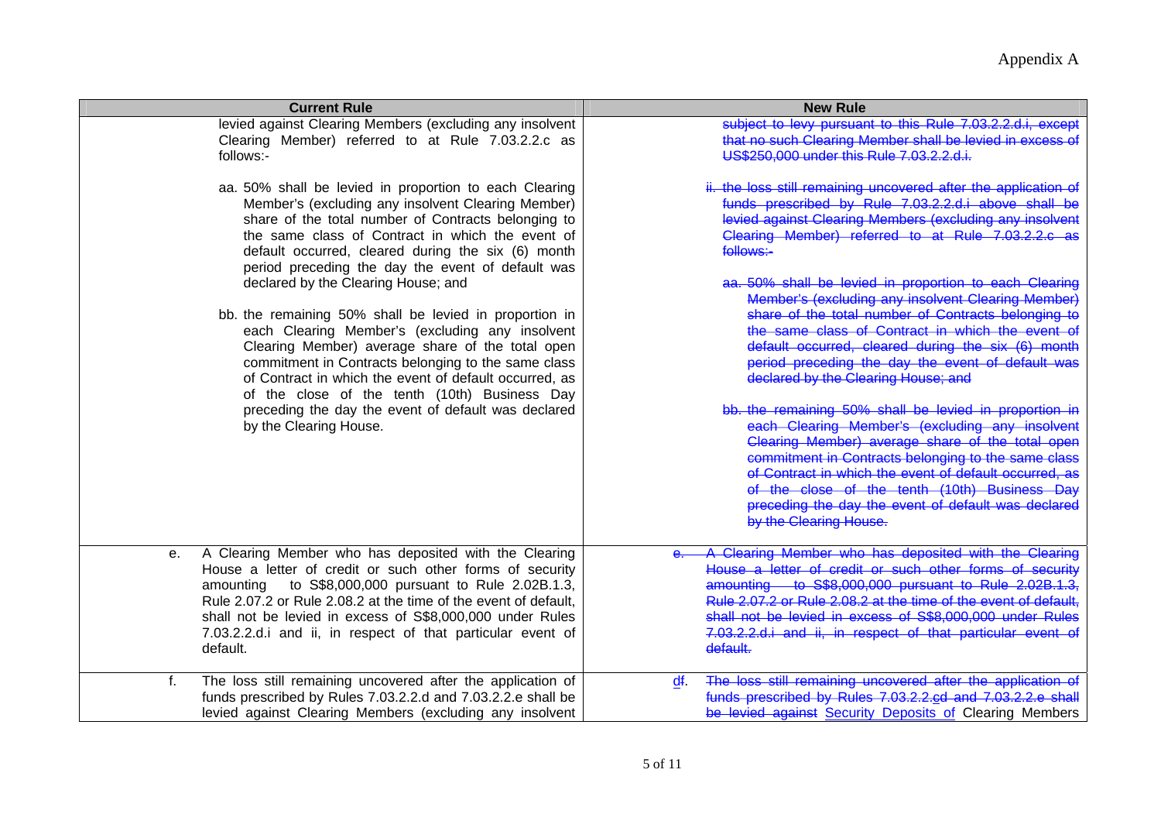| <b>Current Rule</b>                                                                                                                                                                                                                                                                                                                                                                                                                                     | <b>New Rule</b>                                                                                                                                                                                                                                                                                                                                                                                                                                                                                                                                                                                                                                                                                                                                                                               |
|---------------------------------------------------------------------------------------------------------------------------------------------------------------------------------------------------------------------------------------------------------------------------------------------------------------------------------------------------------------------------------------------------------------------------------------------------------|-----------------------------------------------------------------------------------------------------------------------------------------------------------------------------------------------------------------------------------------------------------------------------------------------------------------------------------------------------------------------------------------------------------------------------------------------------------------------------------------------------------------------------------------------------------------------------------------------------------------------------------------------------------------------------------------------------------------------------------------------------------------------------------------------|
| levied against Clearing Members (excluding any insolvent<br>Clearing Member) referred to at Rule 7.03.2.2.c as<br>follows:-                                                                                                                                                                                                                                                                                                                             | subject to levy pursuant to this Rule 7.03.2.2.d.i, excep<br>that no such Clearing Member shall be levied in excess o<br>US\$250,000 under this Rule 7.03.2.2.d.i.                                                                                                                                                                                                                                                                                                                                                                                                                                                                                                                                                                                                                            |
| aa. 50% shall be levied in proportion to each Clearing<br>Member's (excluding any insolvent Clearing Member)<br>share of the total number of Contracts belonging to<br>the same class of Contract in which the event of<br>default occurred, cleared during the six (6) month<br>period preceding the day the event of default was                                                                                                                      | ii. the loss still remaining uncovered after the application of<br>funds prescribed by Rule 7.03.2.2.d.i above shall be<br>levied against Clearing Members (excluding any insolvent<br>Clearing Member) referred to at Rule 7.03.2.2.e<br>follows:-                                                                                                                                                                                                                                                                                                                                                                                                                                                                                                                                           |
| declared by the Clearing House; and<br>bb. the remaining 50% shall be levied in proportion in<br>each Clearing Member's (excluding any insolvent<br>Clearing Member) average share of the total open<br>commitment in Contracts belonging to the same class<br>of Contract in which the event of default occurred, as<br>of the close of the tenth (10th) Business Day<br>preceding the day the event of default was declared<br>by the Clearing House. | aa. 50% shall be levied in proportion to each Clearing<br>Member's (excluding any insolvent Clearing Member)<br>share of the total number of Contracts belonging to<br>the same class of Contract in which the event of<br>default occurred, cleared during the six (6) month<br>period preceding the day the event of default was<br>declared by the Clearing House; and<br>bb. the remaining 50% shall be levied in proportion in<br>each Clearing Member's (excluding any insolvent<br>Clearing Member) average share of the total open<br>commitment in Contracts belonging to the same class<br>of Contract in which the event of default occurred, as<br>of the close of the tenth (10th) Business Day<br>preceding the day the event of default was declared<br>by the Clearing House. |
| A Clearing Member who has deposited with the Clearing<br>е.<br>House a letter of credit or such other forms of security<br>amounting to S\$8,000,000 pursuant to Rule 2.02B.1.3,<br>Rule 2.07.2 or Rule 2.08.2 at the time of the event of default,<br>shall not be levied in excess of S\$8,000,000 under Rules<br>7.03.2.2.d.i and ii, in respect of that particular event of<br>default.                                                             | A Clearing Member who has deposited with the Clearing<br>House a letter of credit or such other forms of security<br>amounting to S\$8,000,000 pursuant to Rule 2.02B.1.3,<br>Rule 2.07.2 or Rule 2.08.2 at the time of the event of default,<br>shall not be levied in excess of S\$8,000,000 under Rules<br>7.03.2.2.d.i and ii, in respect of that particular event of<br>default.                                                                                                                                                                                                                                                                                                                                                                                                         |
| The loss still remaining uncovered after the application of<br>f.<br>funds prescribed by Rules 7.03.2.2.d and 7.03.2.2.e shall be<br>levied against Clearing Members (excluding any insolvent                                                                                                                                                                                                                                                           | The loss still remaining uncovered after the application of<br>df.<br>funds prescribed by Rules 7.03.2.2.ed and 7.03.2.2.e shall<br>be levied against Security Deposits of Clearing Members                                                                                                                                                                                                                                                                                                                                                                                                                                                                                                                                                                                                   |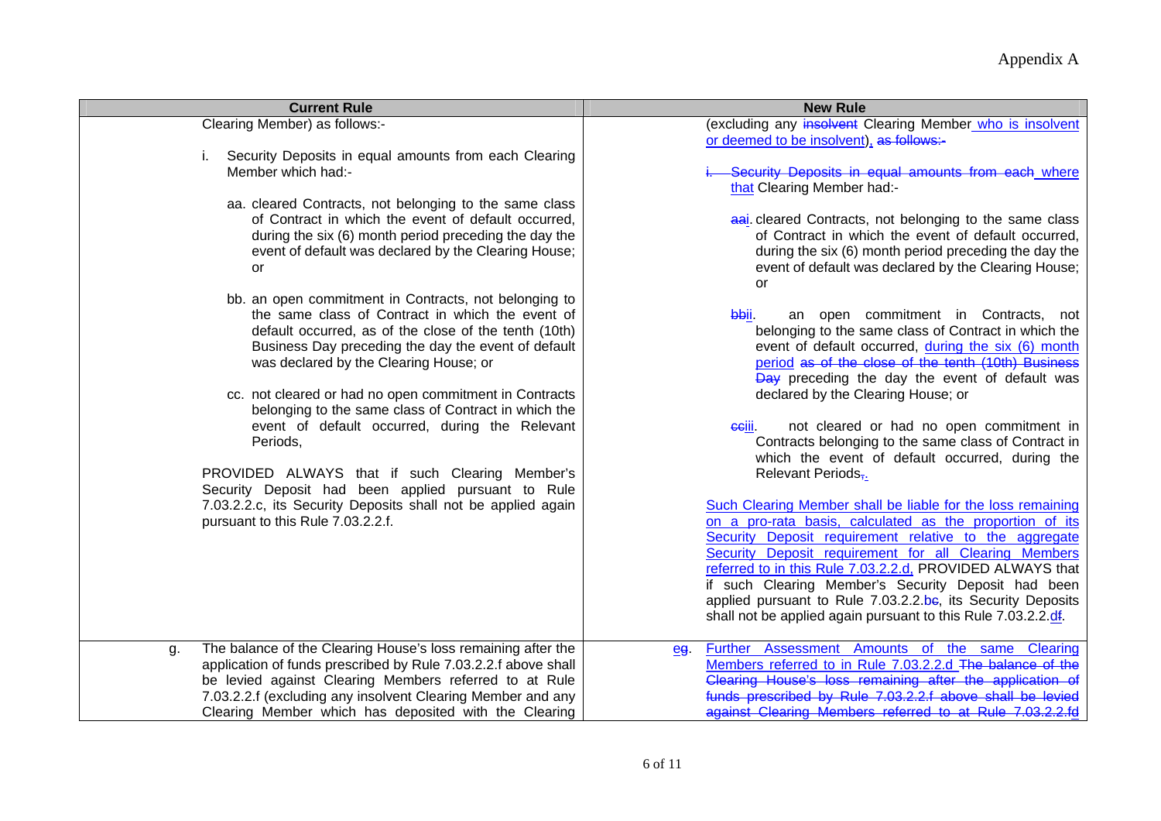| <b>Current Rule</b>                                                                                                                                                                                                                                                                                                                                                                                                                                                                                                                                                                                                                                                                                                                                                                                                                                                                                                                                                                                                            | <b>New Rule</b>                                                                                                                                                                                                                                                                                                                                                                                                                                                                                                                                                                                                                                                                                                                                                                                                                                                                                                                                                                                                                                                                                                                                                                                                                                                                                                                                                                                                                                                  |
|--------------------------------------------------------------------------------------------------------------------------------------------------------------------------------------------------------------------------------------------------------------------------------------------------------------------------------------------------------------------------------------------------------------------------------------------------------------------------------------------------------------------------------------------------------------------------------------------------------------------------------------------------------------------------------------------------------------------------------------------------------------------------------------------------------------------------------------------------------------------------------------------------------------------------------------------------------------------------------------------------------------------------------|------------------------------------------------------------------------------------------------------------------------------------------------------------------------------------------------------------------------------------------------------------------------------------------------------------------------------------------------------------------------------------------------------------------------------------------------------------------------------------------------------------------------------------------------------------------------------------------------------------------------------------------------------------------------------------------------------------------------------------------------------------------------------------------------------------------------------------------------------------------------------------------------------------------------------------------------------------------------------------------------------------------------------------------------------------------------------------------------------------------------------------------------------------------------------------------------------------------------------------------------------------------------------------------------------------------------------------------------------------------------------------------------------------------------------------------------------------------|
| Clearing Member) as follows:-<br>Security Deposits in equal amounts from each Clearing<br>i.<br>Member which had:-<br>aa. cleared Contracts, not belonging to the same class<br>of Contract in which the event of default occurred,<br>during the six (6) month period preceding the day the<br>event of default was declared by the Clearing House;<br>or<br>bb. an open commitment in Contracts, not belonging to<br>the same class of Contract in which the event of<br>default occurred, as of the close of the tenth (10th)<br>Business Day preceding the day the event of default<br>was declared by the Clearing House; or<br>cc. not cleared or had no open commitment in Contracts<br>belonging to the same class of Contract in which the<br>event of default occurred, during the Relevant<br>Periods,<br>PROVIDED ALWAYS that if such Clearing Member's<br>Security Deposit had been applied pursuant to Rule<br>7.03.2.2.c, its Security Deposits shall not be applied again<br>pursuant to this Rule 7.03.2.2.f. | (excluding any insolvent Clearing Member who is insolvent<br>or deemed to be insolvent), as follows:-<br>-Security Deposits in equal amounts from each where<br>that Clearing Member had:-<br>aai cleared Contracts, not belonging to the same class<br>of Contract in which the event of default occurred,<br>during the six (6) month period preceding the day the<br>event of default was declared by the Clearing House;<br>or<br>an open commitment in Contracts,<br>bbii.<br>not<br>belonging to the same class of Contract in which the<br>event of default occurred, during the six (6) month<br>period as of the close of the tenth (10th) Business<br><b>Day</b> preceding the day the event of default was<br>declared by the Clearing House; or<br>not cleared or had no open commitment in<br>eejii.<br>Contracts belonging to the same class of Contract in<br>which the event of default occurred, during the<br>Relevant Periods <sub>7.</sub><br>Such Clearing Member shall be liable for the loss remaining<br>on a pro-rata basis, calculated as the proportion of its<br>Security Deposit requirement relative to the aggregate<br>Security Deposit requirement for all Clearing Members<br>referred to in this Rule 7.03.2.2.d, PROVIDED ALWAYS that<br>if such Clearing Member's Security Deposit had been<br>applied pursuant to Rule 7.03.2.2.be, its Security Deposits<br>shall not be applied again pursuant to this Rule 7.03.2.2.df. |
| The balance of the Clearing House's loss remaining after the<br>g.<br>application of funds prescribed by Rule 7.03.2.2.f above shall<br>be levied against Clearing Members referred to at Rule<br>7.03.2.2.f (excluding any insolvent Clearing Member and any<br>Clearing Member which has deposited with the Clearing                                                                                                                                                                                                                                                                                                                                                                                                                                                                                                                                                                                                                                                                                                         | Further Assessment Amounts of the same Clearing<br>eg<br>Members referred to in Rule 7.03.2.2.d The balance of the<br>Clearing House's loss remaining after the application of<br>funds prescribed by Rule 7.03.2.2.f above shall be levied<br>against Clearing Members referred to at Rule 7,03,2,2.fd                                                                                                                                                                                                                                                                                                                                                                                                                                                                                                                                                                                                                                                                                                                                                                                                                                                                                                                                                                                                                                                                                                                                                          |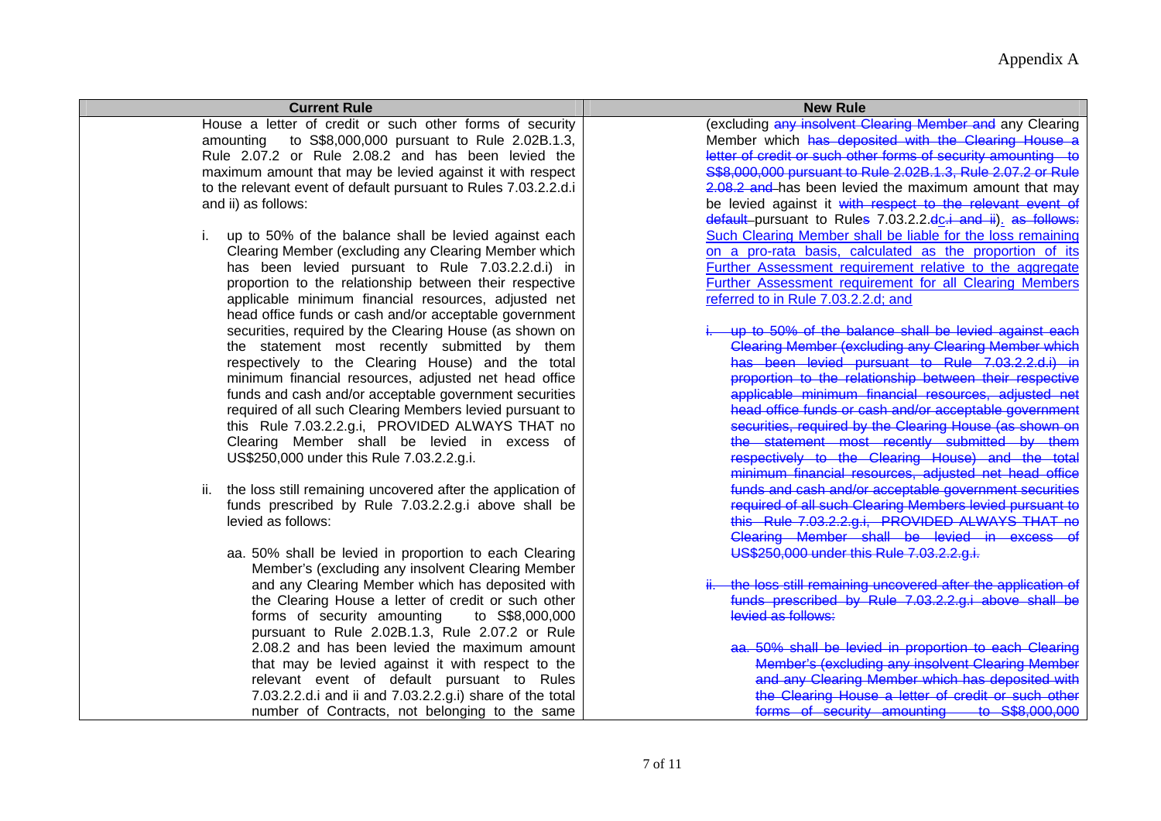| <b>Current Rule</b>                                                | <b>New Rule</b>                                                                                                       |
|--------------------------------------------------------------------|-----------------------------------------------------------------------------------------------------------------------|
| House a letter of credit or such other forms of security           | (excluding any insolvent Clearing Member and any Clearing                                                             |
| amounting to S\$8,000,000 pursuant to Rule 2.02B.1.3,              | Member which has deposited with the Clearing House a<br>letter of credit or such other forms of security amounting to |
| Rule 2.07.2 or Rule 2.08.2 and has been levied the                 |                                                                                                                       |
| maximum amount that may be levied against it with respect          | S\$8,000,000 pursuant to Rule 2.02B.1.3, Rule 2.07.2 or Rule                                                          |
| to the relevant event of default pursuant to Rules 7.03.2.2.d.i    | 2.08.2 and has been levied the maximum amount that may                                                                |
| and ii) as follows:                                                | be levied against it with respect to the relevant event of                                                            |
|                                                                    | default-pursuant to Rules 7.03.2.2.do.i and ii). as follows:                                                          |
| up to 50% of the balance shall be levied against each              | Such Clearing Member shall be liable for the loss remaining                                                           |
| Clearing Member (excluding any Clearing Member which               | on a pro-rata basis, calculated as the proportion of its                                                              |
| has been levied pursuant to Rule 7.03.2.2.d.i) in                  | Further Assessment requirement relative to the aggregate                                                              |
| proportion to the relationship between their respective            | <b>Further Assessment requirement for all Clearing Members</b>                                                        |
| applicable minimum financial resources, adjusted net               | referred to in Rule 7.03.2.2.d; and                                                                                   |
| head office funds or cash and/or acceptable government             |                                                                                                                       |
| securities, required by the Clearing House (as shown on            | of the balance shall be levied against each                                                                           |
| the statement most recently submitted by them                      | Clearing Member (excluding any Clearing Member which                                                                  |
| respectively to the Clearing House) and the total                  | has been levied pursuant to Rule 7.03.2.2.d.i)                                                                        |
| minimum financial resources, adjusted net head office              | proportion to the relationship between their respective                                                               |
| funds and cash and/or acceptable government securities             | applicable minimum financial resources, adjusted net                                                                  |
| required of all such Clearing Members levied pursuant to           | head office funds or cash and/or acceptable government                                                                |
| this Rule 7.03.2.2.g.i, PROVIDED ALWAYS THAT no                    | securities, required by the Clearing House (as shown on                                                               |
| Clearing Member shall be levied in excess of                       | the statement most recently submitted by them                                                                         |
| US\$250,000 under this Rule 7.03.2.2.g.i.                          | respectively to the Clearing House) and the total                                                                     |
|                                                                    | minimum financial resources, adjusted net head office                                                                 |
| the loss still remaining uncovered after the application of<br>ii. | fundation that I and/or acceptable government securities                                                              |
| funds prescribed by Rule 7.03.2.2.g.i above shall be               | required of all such Clearing Members levied pursuant to                                                              |
| levied as follows:                                                 | this Rule 7.03.2.2.g.i, PROVIDED ALWAYS THAT no                                                                       |
|                                                                    | Clearing Member shall be levied in excess                                                                             |
| aa. 50% shall be levied in proportion to each Clearing             | US\$250,000 under this Rule 7.03.2.2.g.i.                                                                             |
| Member's (excluding any insolvent Clearing Member                  |                                                                                                                       |
| and any Clearing Member which has deposited with                   | the loss still remaining uncovered after the application of                                                           |
| the Clearing House a letter of credit or such other                | funds prescribed by Rule 7.03.2.2.g.i above shall be                                                                  |
| forms of security amounting<br>to S\$8,000,000                     | levied as follows:                                                                                                    |
| pursuant to Rule 2.02B.1.3, Rule 2.07.2 or Rule                    |                                                                                                                       |
| 2.08.2 and has been levied the maximum amount                      | aa. 50% shall be levied in proportion to each Clearing                                                                |
| that may be levied against it with respect to the                  | Member's (excluding any insolvent Clearing Member                                                                     |
| relevant event of default pursuant to Rules                        | and any Clearing Member which has deposited with                                                                      |
| 7.03.2.2.d.i and ii and 7.03.2.2.g.i) share of the total           | the Clearing House a letter of credit or such other                                                                   |
| number of Contracts, not belonging to the same                     | forms of security amounting to S\$8,000,000                                                                           |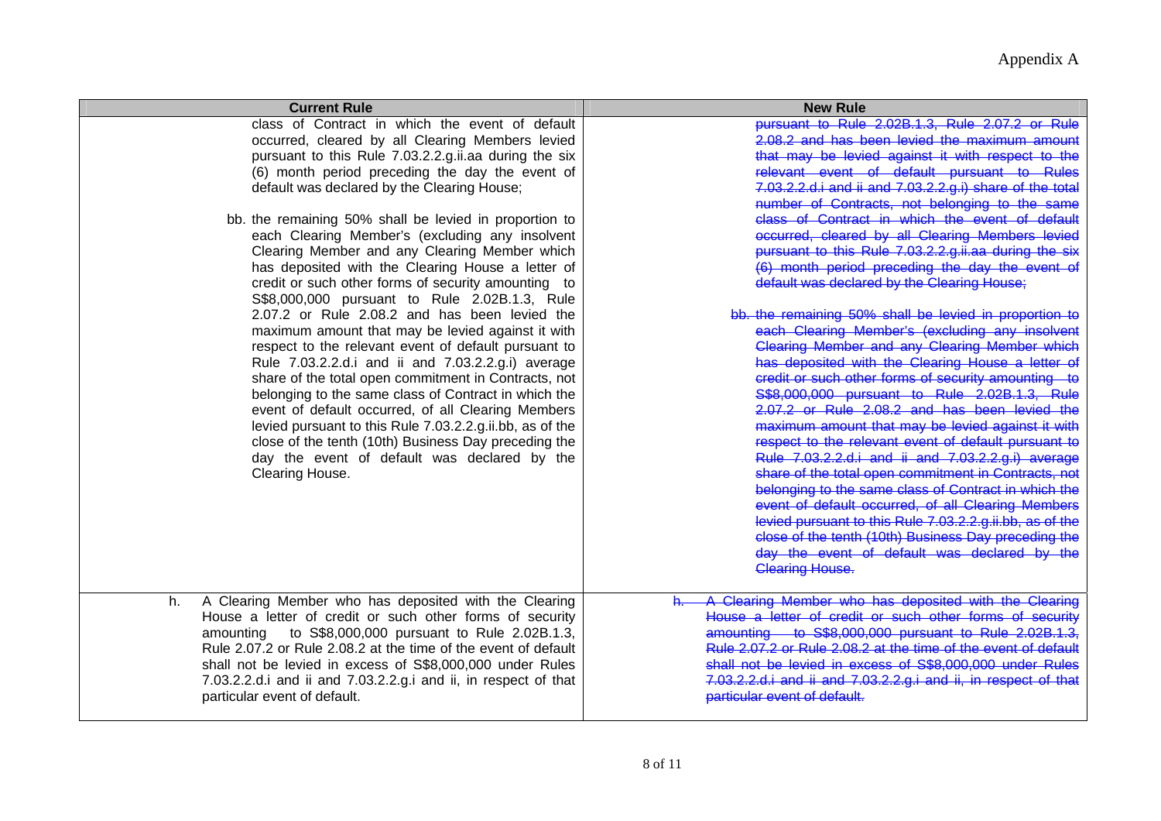| <b>Current Rule</b>                                                                                                                                                                                                                                                                                                                                                                                                                                                                                                                                                                                                                                                                                                                                                                                                                                                                                                                                                                                                                                                                                                                                                        | <b>New Rule</b>                                                                                                                                                                                                                                                                                                                                                                                                                                                                                                                                                                                                                                                                                                                                                                                                                                                                                                                                                                                                                                                                                                                                                                                                                                                                                                                                                                                                                                                                                           |
|----------------------------------------------------------------------------------------------------------------------------------------------------------------------------------------------------------------------------------------------------------------------------------------------------------------------------------------------------------------------------------------------------------------------------------------------------------------------------------------------------------------------------------------------------------------------------------------------------------------------------------------------------------------------------------------------------------------------------------------------------------------------------------------------------------------------------------------------------------------------------------------------------------------------------------------------------------------------------------------------------------------------------------------------------------------------------------------------------------------------------------------------------------------------------|-----------------------------------------------------------------------------------------------------------------------------------------------------------------------------------------------------------------------------------------------------------------------------------------------------------------------------------------------------------------------------------------------------------------------------------------------------------------------------------------------------------------------------------------------------------------------------------------------------------------------------------------------------------------------------------------------------------------------------------------------------------------------------------------------------------------------------------------------------------------------------------------------------------------------------------------------------------------------------------------------------------------------------------------------------------------------------------------------------------------------------------------------------------------------------------------------------------------------------------------------------------------------------------------------------------------------------------------------------------------------------------------------------------------------------------------------------------------------------------------------------------|
| class of Contract in which the event of default<br>occurred, cleared by all Clearing Members levied<br>pursuant to this Rule 7.03.2.2.g.ii.aa during the six<br>(6) month period preceding the day the event of<br>default was declared by the Clearing House;<br>bb. the remaining 50% shall be levied in proportion to<br>each Clearing Member's (excluding any insolvent<br>Clearing Member and any Clearing Member which<br>has deposited with the Clearing House a letter of<br>credit or such other forms of security amounting to<br>S\$8,000,000 pursuant to Rule 2.02B.1.3, Rule<br>2.07.2 or Rule 2.08.2 and has been levied the<br>maximum amount that may be levied against it with<br>respect to the relevant event of default pursuant to<br>Rule 7.03.2.2.d.i and ii and 7.03.2.2.g.i) average<br>share of the total open commitment in Contracts, not<br>belonging to the same class of Contract in which the<br>event of default occurred, of all Clearing Members<br>levied pursuant to this Rule 7.03.2.2.g.ii.bb, as of the<br>close of the tenth (10th) Business Day preceding the<br>day the event of default was declared by the<br>Clearing House. | pursuant to Rule 2.02B.1.3. Rule 2.07.2 or Rule<br>2.08.2 and has been levied the maximum amount<br>that may be levied against it with respect to the<br>relevant event of default pursuant to Rules<br><del>7.03.2.2.d.i and ii and 7.03.2.2.g.i) share of the total</del><br>number of Contracts, not belonging to the<br>class of Contract in which the event of default<br>occurred, cleared by all Clearing Members levied<br>pursuant to this Rule 7.03.2.2.g.ii.aa during the six<br>(6) month period preceding the day the event of<br>default was declared by the Clearing House;<br>bb, the remaining 50% shall be levied in proportion to<br>each Clearing Member's (excluding any insolvent<br>Clearing Member and any Clearing Member which<br>has deposited with the Clearing House a letter of<br>eredit or such other forms of security amounting<br>\$\$8,000,000 pursuant to Rule 2.02B.1.3. Rule<br>2.07.2 or Rule 2.08.2 and has been levied the<br>maximum amount that may be levied against it with<br>respect to the relevant event of default pursuant to<br>Rule 7.03.2.2.d.i and ii and 7.03.2.2.g.i) average<br>share of the total open commitment in Contracts, not<br>belonging to the same class of Contract in which the<br>event of default occurred, of all Clearing Members<br>-<br>levied pursuant to this Rule 7.03.2.2.g.ii.bb, as of the<br>close of the tenth (10th) Business Day preceding the<br>day the event of default was declared by the<br>Clearing House. |
| A Clearing Member who has deposited with the Clearing<br>h.<br>House a letter of credit or such other forms of security<br>amounting to S\$8,000,000 pursuant to Rule 2.02B.1.3,<br>Rule 2.07.2 or Rule 2.08.2 at the time of the event of default<br>shall not be levied in excess of S\$8,000,000 under Rules<br>7.03.2.2.d.i and ii and 7.03.2.2.g.i and ii, in respect of that<br>particular event of default.                                                                                                                                                                                                                                                                                                                                                                                                                                                                                                                                                                                                                                                                                                                                                         | A Clearing Member who has deposited with the Clearing<br>h.<br>House a letter of credit or such other forms of security<br>amounting to S\$8,000,000 pursuant to Rule 2.02B.1.3<br>Rule 2.07.2 or Rule 2.08.2 at the time of the event of default<br>shall not be levied in excess of S\$8,000,000 under Rules<br>7.03.2.2.d.i and ii and 7.03.2.2.g.i and ii, in respect of that<br>particular event of default.                                                                                                                                                                                                                                                                                                                                                                                                                                                                                                                                                                                                                                                                                                                                                                                                                                                                                                                                                                                                                                                                                         |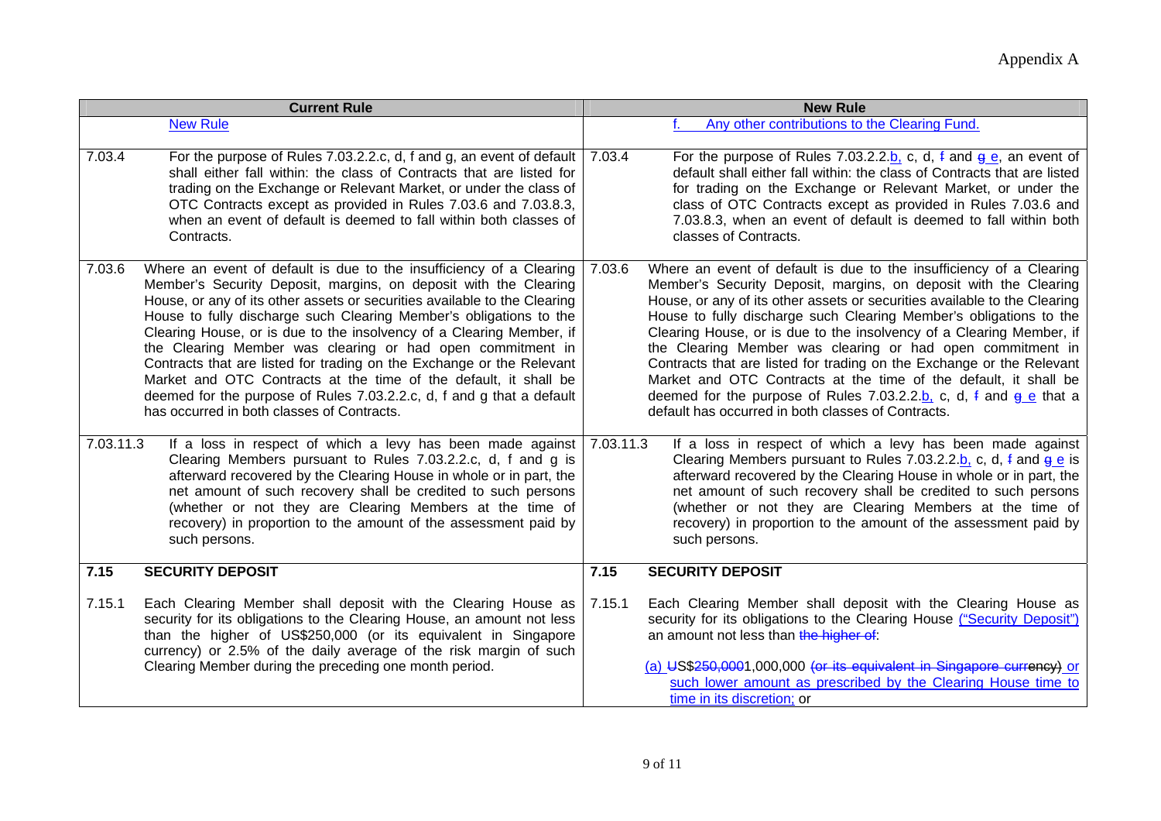| <b>Current Rule</b> |                                                                                                                                                                                                                                                                                                                                                                                                                                                                                                                                                                                                                                                                                                      | <b>New Rule</b> |                                                                                                                                                                                                                                                                                                                                                                                                                                                                                                                                                                                                                                                                                                                                   |
|---------------------|------------------------------------------------------------------------------------------------------------------------------------------------------------------------------------------------------------------------------------------------------------------------------------------------------------------------------------------------------------------------------------------------------------------------------------------------------------------------------------------------------------------------------------------------------------------------------------------------------------------------------------------------------------------------------------------------------|-----------------|-----------------------------------------------------------------------------------------------------------------------------------------------------------------------------------------------------------------------------------------------------------------------------------------------------------------------------------------------------------------------------------------------------------------------------------------------------------------------------------------------------------------------------------------------------------------------------------------------------------------------------------------------------------------------------------------------------------------------------------|
|                     | <b>New Rule</b>                                                                                                                                                                                                                                                                                                                                                                                                                                                                                                                                                                                                                                                                                      |                 | Any other contributions to the Clearing Fund.                                                                                                                                                                                                                                                                                                                                                                                                                                                                                                                                                                                                                                                                                     |
| 7.03.4              | For the purpose of Rules 7.03.2.2.c, d, f and g, an event of default<br>shall either fall within: the class of Contracts that are listed for<br>trading on the Exchange or Relevant Market, or under the class of<br>OTC Contracts except as provided in Rules 7.03.6 and 7.03.8.3,<br>when an event of default is deemed to fall within both classes of<br>Contracts.                                                                                                                                                                                                                                                                                                                               | 7.03.4          | For the purpose of Rules 7.03.2.2.b, c, d, f and $g e$ , an event of<br>default shall either fall within: the class of Contracts that are listed<br>for trading on the Exchange or Relevant Market, or under the<br>class of OTC Contracts except as provided in Rules 7.03.6 and<br>7.03.8.3, when an event of default is deemed to fall within both<br>classes of Contracts.                                                                                                                                                                                                                                                                                                                                                    |
| 7.03.6              | Where an event of default is due to the insufficiency of a Clearing<br>Member's Security Deposit, margins, on deposit with the Clearing<br>House, or any of its other assets or securities available to the Clearing<br>House to fully discharge such Clearing Member's obligations to the<br>Clearing House, or is due to the insolvency of a Clearing Member, if<br>the Clearing Member was clearing or had open commitment in<br>Contracts that are listed for trading on the Exchange or the Relevant<br>Market and OTC Contracts at the time of the default, it shall be<br>deemed for the purpose of Rules 7.03.2.2.c, d, f and g that a default<br>has occurred in both classes of Contracts. | 7.03.6          | Where an event of default is due to the insufficiency of a Clearing<br>Member's Security Deposit, margins, on deposit with the Clearing<br>House, or any of its other assets or securities available to the Clearing<br>House to fully discharge such Clearing Member's obligations to the<br>Clearing House, or is due to the insolvency of a Clearing Member, if<br>the Clearing Member was clearing or had open commitment in<br>Contracts that are listed for trading on the Exchange or the Relevant<br>Market and OTC Contracts at the time of the default, it shall be<br>deemed for the purpose of Rules 7.03.2.2.b, c, d, $\frac{1}{2}$ and $\frac{1}{9}$ e that a<br>default has occurred in both classes of Contracts. |
| 7.03.11.3           | If a loss in respect of which a levy has been made against<br>Clearing Members pursuant to Rules 7.03.2.2.c, d, f and g is<br>afterward recovered by the Clearing House in whole or in part, the<br>net amount of such recovery shall be credited to such persons<br>(whether or not they are Clearing Members at the time of<br>recovery) in proportion to the amount of the assessment paid by<br>such persons.                                                                                                                                                                                                                                                                                    | 7.03.11.3       | If a loss in respect of which a levy has been made against<br>Clearing Members pursuant to Rules 7.03.2.2.b, c, d, $\frac{1}{2}$ and $\frac{1}{9}$ e is<br>afterward recovered by the Clearing House in whole or in part, the<br>net amount of such recovery shall be credited to such persons<br>(whether or not they are Clearing Members at the time of<br>recovery) in proportion to the amount of the assessment paid by<br>such persons.                                                                                                                                                                                                                                                                                    |
| 7.15                | <b>SECURITY DEPOSIT</b>                                                                                                                                                                                                                                                                                                                                                                                                                                                                                                                                                                                                                                                                              | 7.15            | <b>SECURITY DEPOSIT</b>                                                                                                                                                                                                                                                                                                                                                                                                                                                                                                                                                                                                                                                                                                           |
| 7.15.1              | Each Clearing Member shall deposit with the Clearing House as<br>security for its obligations to the Clearing House, an amount not less<br>than the higher of US\$250,000 (or its equivalent in Singapore<br>currency) or 2.5% of the daily average of the risk margin of such<br>Clearing Member during the preceding one month period.                                                                                                                                                                                                                                                                                                                                                             | 7.15.1          | Each Clearing Member shall deposit with the Clearing House as<br>security for its obligations to the Clearing House ("Security Deposit")<br>an amount not less than the higher of:<br>(a) US\$250,0001,000,000 (or its equivalent in Singapore currency) or<br>such lower amount as prescribed by the Clearing House time to<br>time in its discretion; or                                                                                                                                                                                                                                                                                                                                                                        |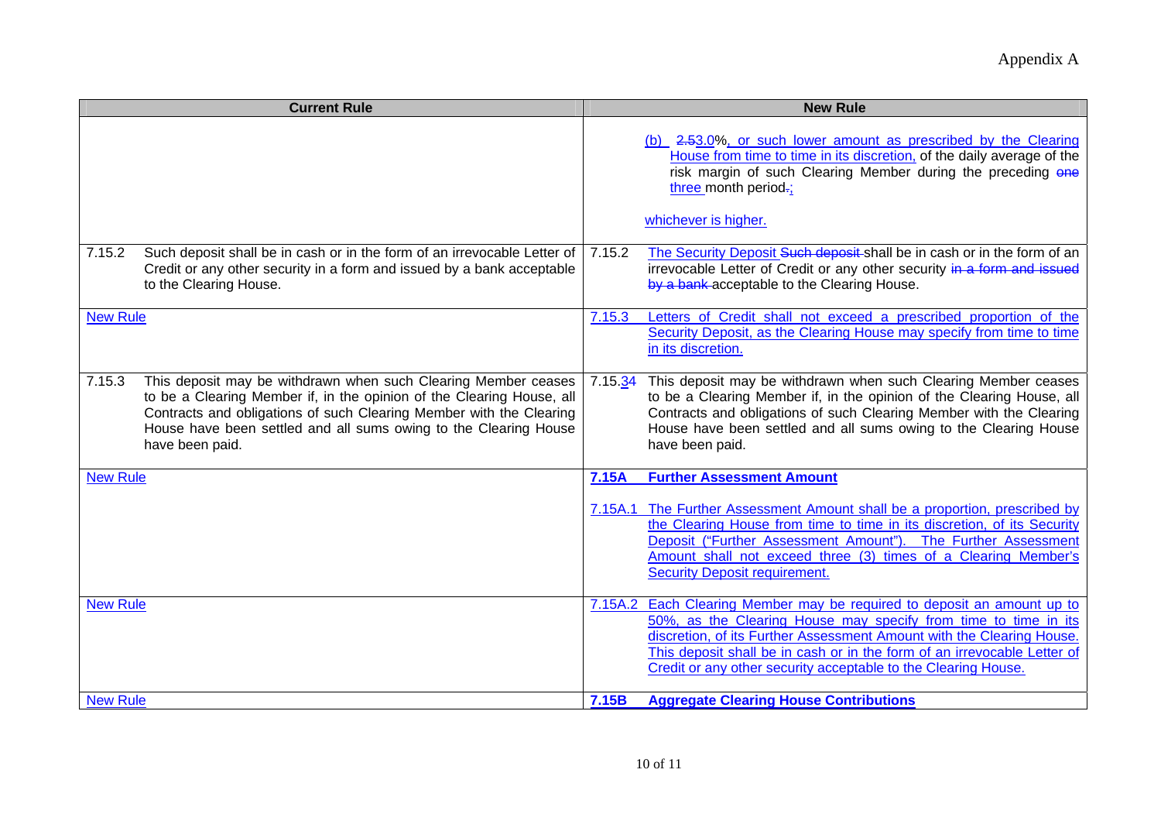|                                    | <b>Current Rule</b>                                                                                                                                                                                                                                                                                   |         | <b>New Rule</b>                                                                                                                                                                                                                                                                                                                                                                                                    |
|------------------------------------|-------------------------------------------------------------------------------------------------------------------------------------------------------------------------------------------------------------------------------------------------------------------------------------------------------|---------|--------------------------------------------------------------------------------------------------------------------------------------------------------------------------------------------------------------------------------------------------------------------------------------------------------------------------------------------------------------------------------------------------------------------|
|                                    |                                                                                                                                                                                                                                                                                                       |         | (b) 2.53.0%, or such lower amount as prescribed by the Clearing<br>House from time to time in its discretion, of the daily average of the<br>risk margin of such Clearing Member during the preceding one<br>three month period-;                                                                                                                                                                                  |
|                                    |                                                                                                                                                                                                                                                                                                       |         | whichever is higher.                                                                                                                                                                                                                                                                                                                                                                                               |
| 7.15.2                             | Such deposit shall be in cash or in the form of an irrevocable Letter of<br>Credit or any other security in a form and issued by a bank acceptable<br>to the Clearing House.                                                                                                                          | 7.15.2  | The Security Deposit Such deposit shall be in cash or in the form of an<br>irrevocable Letter of Credit or any other security in a form and issued<br>by a bank acceptable to the Clearing House.                                                                                                                                                                                                                  |
| <b>New Rule</b>                    |                                                                                                                                                                                                                                                                                                       | 7.15.3  | Letters of Credit shall not exceed a prescribed proportion of the<br>Security Deposit, as the Clearing House may specify from time to time<br>in its discretion.                                                                                                                                                                                                                                                   |
| 7.15.3                             | This deposit may be withdrawn when such Clearing Member ceases<br>to be a Clearing Member if, in the opinion of the Clearing House, all<br>Contracts and obligations of such Clearing Member with the Clearing<br>House have been settled and all sums owing to the Clearing House<br>have been paid. | 7.15.34 | This deposit may be withdrawn when such Clearing Member ceases<br>to be a Clearing Member if, in the opinion of the Clearing House, all<br>Contracts and obligations of such Clearing Member with the Clearing<br>House have been settled and all sums owing to the Clearing House<br>have been paid.                                                                                                              |
| <b>New Rule</b>                    |                                                                                                                                                                                                                                                                                                       | 7.15A   | <b>Further Assessment Amount</b>                                                                                                                                                                                                                                                                                                                                                                                   |
|                                    |                                                                                                                                                                                                                                                                                                       |         | 7.15A.1 The Further Assessment Amount shall be a proportion, prescribed by<br>the Clearing House from time to time in its discretion, of its Security<br>Deposit ("Further Assessment Amount"). The Further Assessment<br>Amount shall not exceed three (3) times of a Clearing Member's<br><b>Security Deposit requirement.</b>                                                                                   |
| <b>New Rule</b><br><b>New Rule</b> |                                                                                                                                                                                                                                                                                                       | 7.15B   | 7.15A.2 Each Clearing Member may be required to deposit an amount up to<br>50%, as the Clearing House may specify from time to time in its<br>discretion, of its Further Assessment Amount with the Clearing House.<br>This deposit shall be in cash or in the form of an irrevocable Letter of<br>Credit or any other security acceptable to the Clearing House.<br><b>Aggregate Clearing House Contributions</b> |
|                                    |                                                                                                                                                                                                                                                                                                       |         |                                                                                                                                                                                                                                                                                                                                                                                                                    |